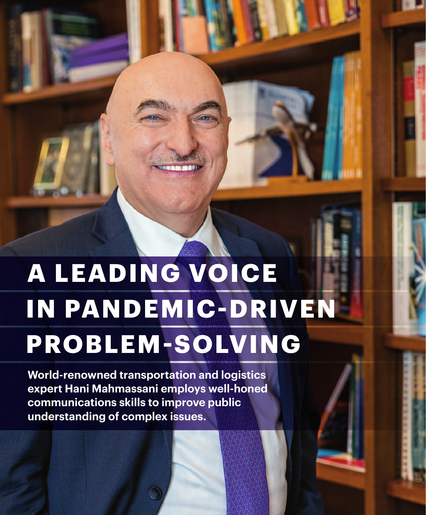# **A LEADING VOICE PROBLEM-SOLVING IN PANDEMIC-DRIVEN**

**World-renowned transportation and logistics expert Hani Mahmassani employs well-honed communications skills to improve public understanding of complex issues.**